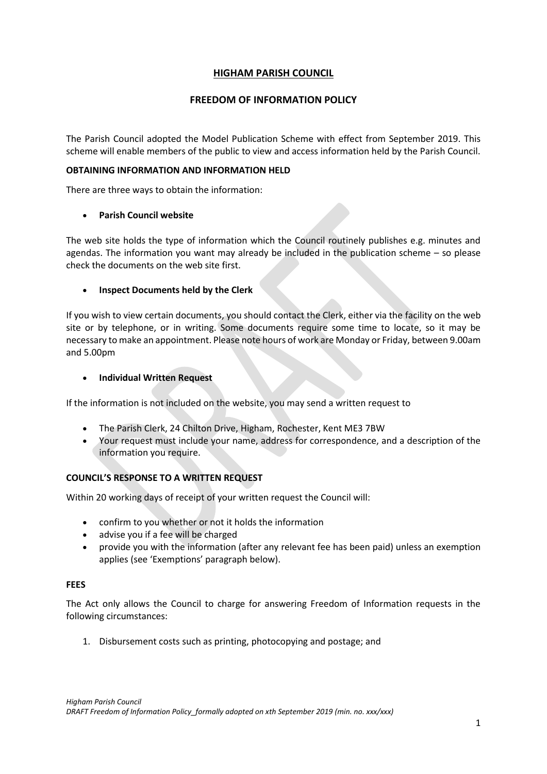# **HIGHAM PARISH COUNCIL**

## **FREEDOM OF INFORMATION POLICY**

The Parish Council adopted the Model Publication Scheme with effect from September 2019. This scheme will enable members of the public to view and access information held by the Parish Council.

### **OBTAINING INFORMATION AND INFORMATION HELD**

There are three ways to obtain the information:

### • **Parish Council website**

The web site holds the type of information which the Council routinely publishes e.g. minutes and agendas. The information you want may already be included in the publication scheme – so please check the documents on the web site first.

## • **Inspect Documents held by the Clerk**

If you wish to view certain documents, you should contact the Clerk, either via the facility on the web site or by telephone, or in writing. Some documents require some time to locate, so it may be necessary to make an appointment. Please note hours of work are Monday or Friday, between 9.00am and 5.00pm

## • **Individual Written Request**

If the information is not included on the website, you may send a written request to

- The Parish Clerk, 24 Chilton Drive, Higham, Rochester, Kent ME3 7BW
- Your request must include your name, address for correspondence, and a description of the information you require.

## **COUNCIL'S RESPONSE TO A WRITTEN REQUEST**

Within 20 working days of receipt of your written request the Council will:

- confirm to you whether or not it holds the information
- advise you if a fee will be charged
- provide you with the information (after any relevant fee has been paid) unless an exemption applies (see 'Exemptions' paragraph below).

### **FEES**

The Act only allows the Council to charge for answering Freedom of Information requests in the following circumstances:

1. Disbursement costs such as printing, photocopying and postage; and